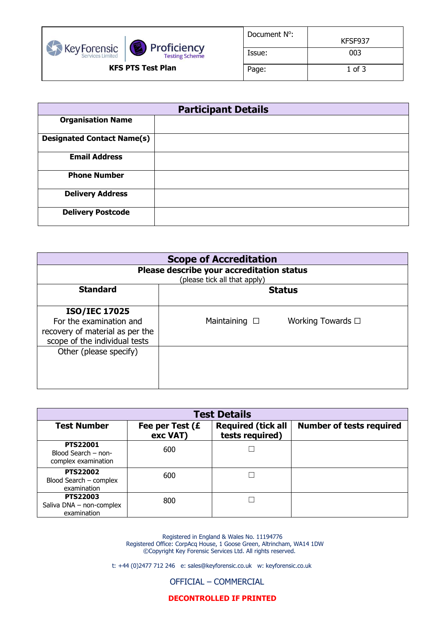

| Document N <sup>o</sup> : | KFSF937  |
|---------------------------|----------|
| Issue:                    | 003      |
| Page:                     | 1 of $3$ |

| <b>Participant Details</b>        |  |  |
|-----------------------------------|--|--|
| <b>Organisation Name</b>          |  |  |
| <b>Designated Contact Name(s)</b> |  |  |
| <b>Email Address</b>              |  |  |
| <b>Phone Number</b>               |  |  |
| <b>Delivery Address</b>           |  |  |
| <b>Delivery Postcode</b>          |  |  |

| <b>Scope of Accreditation</b>                                                                                       |                                            |  |  |
|---------------------------------------------------------------------------------------------------------------------|--------------------------------------------|--|--|
| Please describe your accreditation status<br>(please tick all that apply)                                           |                                            |  |  |
| <b>Standard</b><br><b>Status</b>                                                                                    |                                            |  |  |
| <b>ISO/IEC 17025</b><br>For the examination and<br>recovery of material as per the<br>scope of the individual tests | Working Towards □<br>Maintaining $\square$ |  |  |
| Other (please specify)                                                                                              |                                            |  |  |

| <b>Test Details</b>                                           |                             |                                              |                                 |
|---------------------------------------------------------------|-----------------------------|----------------------------------------------|---------------------------------|
| <b>Test Number</b>                                            | Fee per Test (£<br>exc VAT) | <b>Required (tick all</b><br>tests required) | <b>Number of tests required</b> |
| <b>PTS22001</b><br>Blood Search - non-<br>complex examination | 600                         |                                              |                                 |
| <b>PTS22002</b><br>Blood Search - complex<br>examination      | 600                         |                                              |                                 |
| <b>PTS22003</b><br>Saliva DNA - non-complex<br>examination    | 800                         |                                              |                                 |

Registered in England & Wales No. 11194776 Registered Office: CorpAcq House, 1 Goose Green, Altrincham, WA14 1DW ©Copyright Key Forensic Services Ltd. All rights reserved.

t: +44 (0)2477 712 246 e: sales@keyforensic.co.uk w: keyforensic.co.uk

OFFICIAL – COMMERCIAL

**DECONTROLLED IF PRINTED**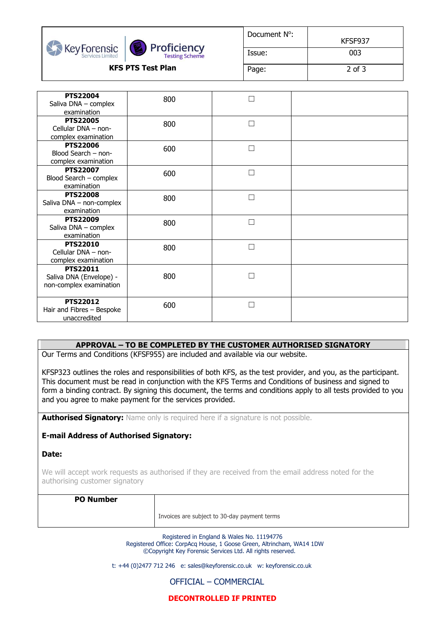



| Document N <sup>o</sup> : | KFSF937 |
|---------------------------|---------|
| Issue:                    | 003     |
| Page:                     | 2 of 3  |

| <b>PTS22004</b>           | 800 |              |  |
|---------------------------|-----|--------------|--|
| Saliva DNA - complex      |     |              |  |
| examination               |     |              |  |
| <b>PTS22005</b>           | 800 | $\Box$       |  |
| Cellular DNA - non-       |     |              |  |
| complex examination       |     |              |  |
| <b>PTS22006</b>           | 600 | Г            |  |
| Blood Search - non-       |     |              |  |
| complex examination       |     |              |  |
| <b>PTS22007</b>           | 600 | П            |  |
| Blood Search - complex    |     |              |  |
| examination               |     |              |  |
| <b>PTS22008</b>           |     | ┍            |  |
| Saliva DNA - non-complex  | 800 |              |  |
| examination               |     |              |  |
| <b>PTS22009</b>           |     | П            |  |
| Saliva DNA - complex      | 800 |              |  |
| examination               |     |              |  |
| <b>PTS22010</b>           |     |              |  |
| Cellular DNA - non-       | 800 | $\mathbf{r}$ |  |
| complex examination       |     |              |  |
| <b>PTS22011</b>           |     |              |  |
| Saliva DNA (Envelope) -   | 800 |              |  |
| non-complex examination   |     |              |  |
|                           |     |              |  |
| <b>PTS22012</b>           |     |              |  |
| Hair and Fibres - Bespoke | 600 | $\Box$       |  |
| unaccredited              |     |              |  |
|                           |     |              |  |

## **APPROVAL – TO BE COMPLETED BY THE CUSTOMER AUTHORISED SIGNATORY**

Our Terms and Conditions (KFSF955) are included and available via our website.

KFSP323 outlines the roles and responsibilities of both KFS, as the test provider, and you, as the participant. This document must be read in conjunction with the KFS Terms and Conditions of business and signed to form a binding contract. By signing this document, the terms and conditions apply to all tests provided to you and you agree to make payment for the services provided.

**Authorised Signatory:** Name only is required here if a signature is not possible.

## **E-mail Address of Authorised Signatory:**

**Date:** 

We will accept work requests as authorised if they are received from the email address noted for the authorising customer signatory

## **PO Number**

Invoices are subject to 30-day payment terms

Registered in England & Wales No. 11194776 Registered Office: CorpAcq House, 1 Goose Green, Altrincham, WA14 1DW ©Copyright Key Forensic Services Ltd. All rights reserved.

t: +44 (0)2477 712 246 e: sales@keyforensic.co.uk w: keyforensic.co.uk

OFFICIAL – COMMERCIAL

**DECONTROLLED IF PRINTED**